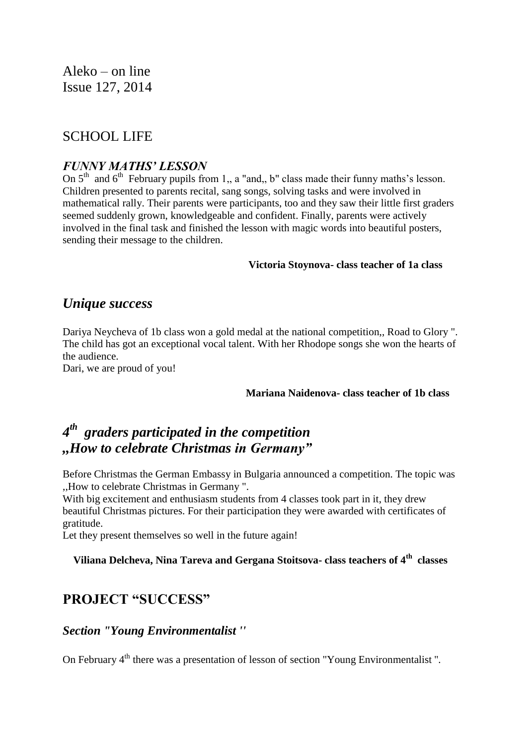Aleko – on line Issue 127, 2014

# SCHOOL LIFE

### *FUNNY MATHS' LESSON*

On  $5<sup>th</sup>$  and  $6<sup>th</sup>$  February pupils from 1,, a "and,, b" class made their funny maths's lesson. Children presented to parents recital, sang songs, solving tasks and were involved in mathematical rally. Their parents were participants, too and they saw their little first graders seemed suddenly grown, knowledgeable and confident. Finally, parents were actively involved in the final task and finished the lesson with magic words into beautiful posters, sending their message to the children.

#### **Victoria Stoynova- class teacher of 1a class**

# *Unique success*

Dariya Neycheva of 1b class won a gold medal at the national competition,, Road to Glory ". The child has got an exceptional vocal talent. With her Rhodope songs she won the hearts of the audience.

Dari, we are proud of you!

#### **Mariana Naidenova- class teacher of 1b class**

# *4 th graders participated in the competition ,,How to celebrate Christmas in Germany"*

Before Christmas the German Embassy in Bulgaria announced a competition. The topic was ,,How to celebrate Christmas in Germany ".

With big excitement and enthusiasm students from 4 classes took part in it, they drew beautiful Christmas pictures. For their participation they were awarded with certificates of gratitude.

Let they present themselves so well in the future again!

# **Viliana Delcheva, Nina Tareva and Gergana Stoitsova- class teachers of 4th classes**

# **PROJECT "SUCCESS"**

### *Section "Young Environmentalist ''*

On February 4<sup>th</sup> there was a presentation of lesson of section "Young Environmentalist".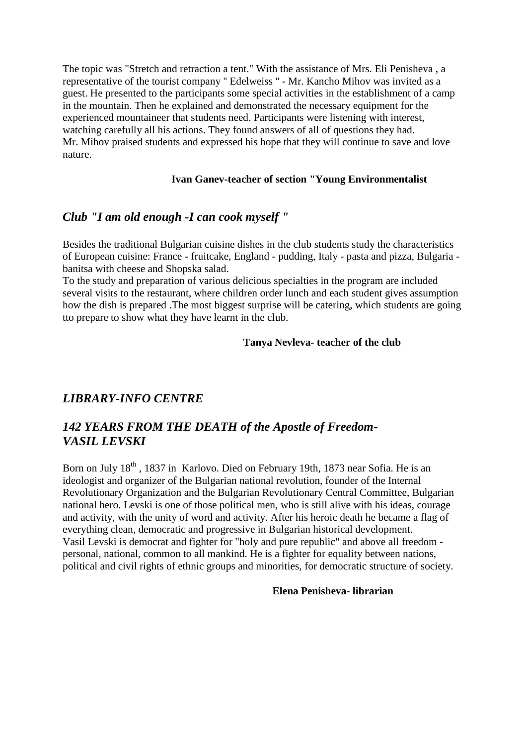The topic was "Stretch and retraction a tent." With the assistance of Mrs. Eli Penisheva , a representative of the tourist company '' Edelweiss '' - Mr. Kancho Mihov was invited as a guest. He presented to the participants some special activities in the establishment of a camp in the mountain. Then he explained and demonstrated the necessary equipment for the experienced mountaineer that students need. Participants were listening with interest, watching carefully all his actions. They found answers of all of questions they had. Mr. Mihov praised students and expressed his hope that they will continue to save and love nature.

### **Ivan Ganev-teacher of section "Young Environmentalist**

## *Club "I am old enough -I can cook myself "*

Besides the traditional Bulgarian cuisine dishes in the club students study the characteristics of European cuisine: France - fruitcake, England - pudding, Italy - pasta and pizza, Bulgaria banitsa with cheese and Shopska salad.

To the study and preparation of various delicious specialties in the program are included several visits to the restaurant, where children order lunch and each student gives assumption how the dish is prepared .The most biggest surprise will be catering, which students are going tto prepare to show what they have learnt in the club.

#### **Tanya Nevleva- teacher of the club**

## *LIBRARY-INFO CENTRE*

# *142 YEARS FROM THE DEATH of the Apostle of Freedom-VASIL LEVSKI*

Born on July 18<sup>th</sup>, 1837 in Karlovo. Died on February 19th, 1873 near Sofia. He is an ideologist and organizer of the Bulgarian national revolution, founder of the Internal Revolutionary Organization and the Bulgarian Revolutionary Central Committee, Bulgarian national hero. Levski is one of those political men, who is still alive with his ideas, courage and activity, with the unity of word and activity. After his heroic death he became a flag of everything clean, democratic and progressive in Bulgarian historical development. Vasil Levski is democrat and fighter for "holy and pure republic" and above all freedom personal, national, common to all mankind. He is a fighter for equality between nations, political and civil rights of ethnic groups and minorities, for democratic structure of society.

#### **Elena Penisheva- librarian**